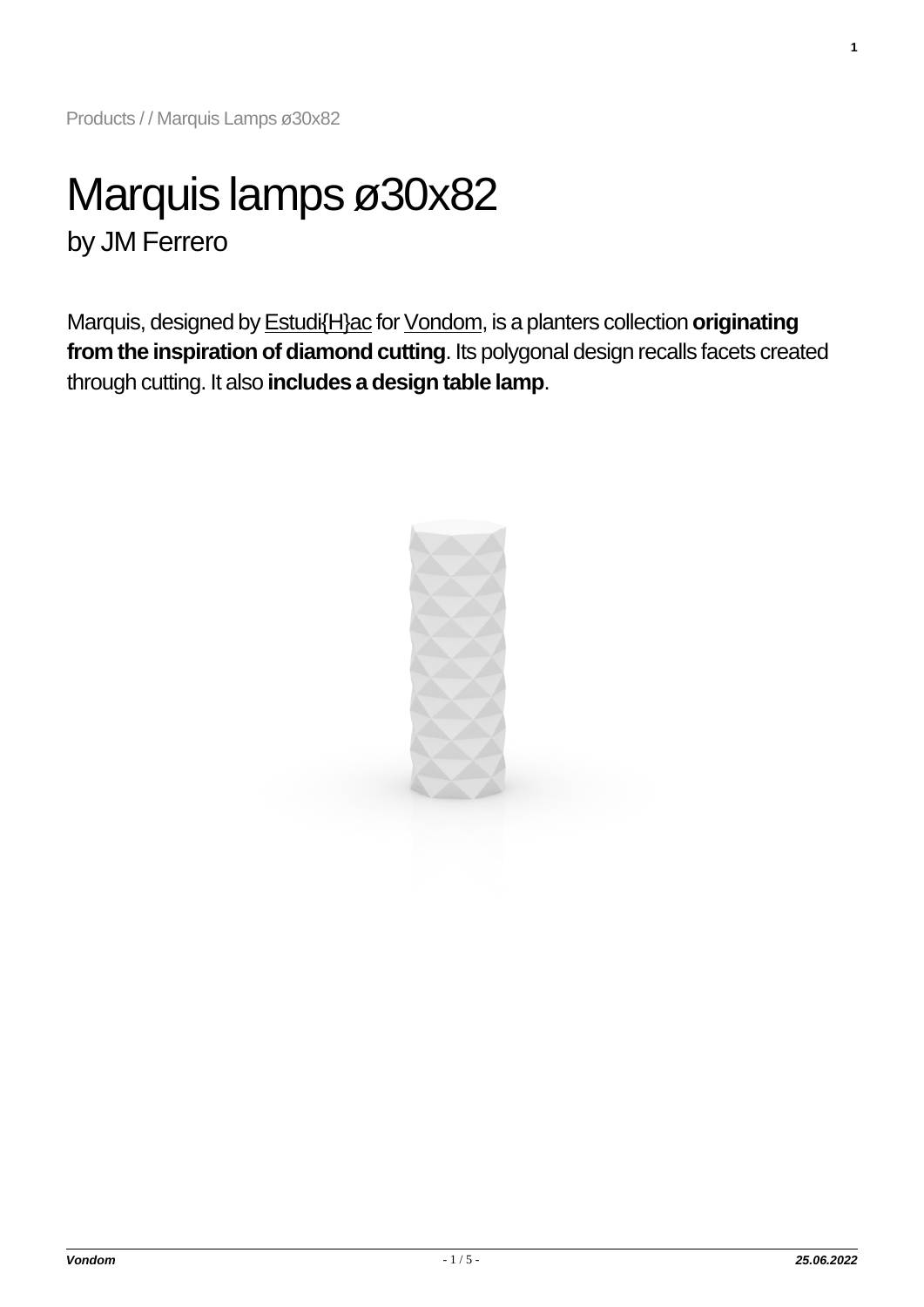# Marquis lamps ø30x82 by JM Ferrero

Marquis, designed by [Estudi{H}ac](https://www.vondom.com/designers/jm-ferrero/) for [Vondom,](https://www.vondom.com/who-we-are/) is a planters collection **originating from the inspiration of diamond cutting**. Its polygonal design recalls facets created through cutting. It also **includes a design table lamp**.



**1**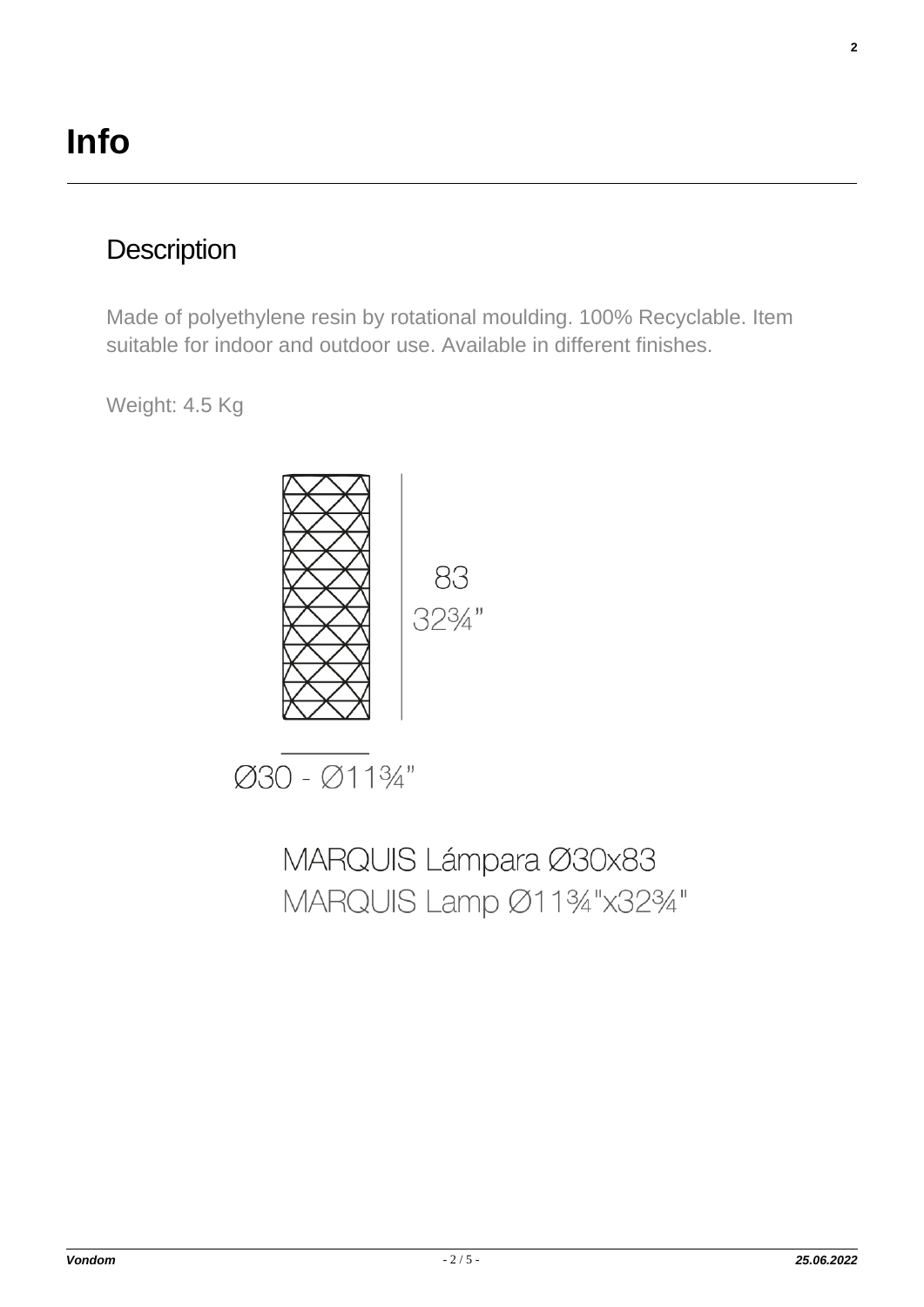### **Description**

Made of polyethylene resin by rotational moulding. 100% Recyclable. Item suitable for indoor and outdoor use. Available in different finishes.

Weight: 4.5 Kg



Ø30 - Ø1134"

MARQUIS Lámpara Ø30x83 MARQUIS Lamp Ø1134"x3234" **2**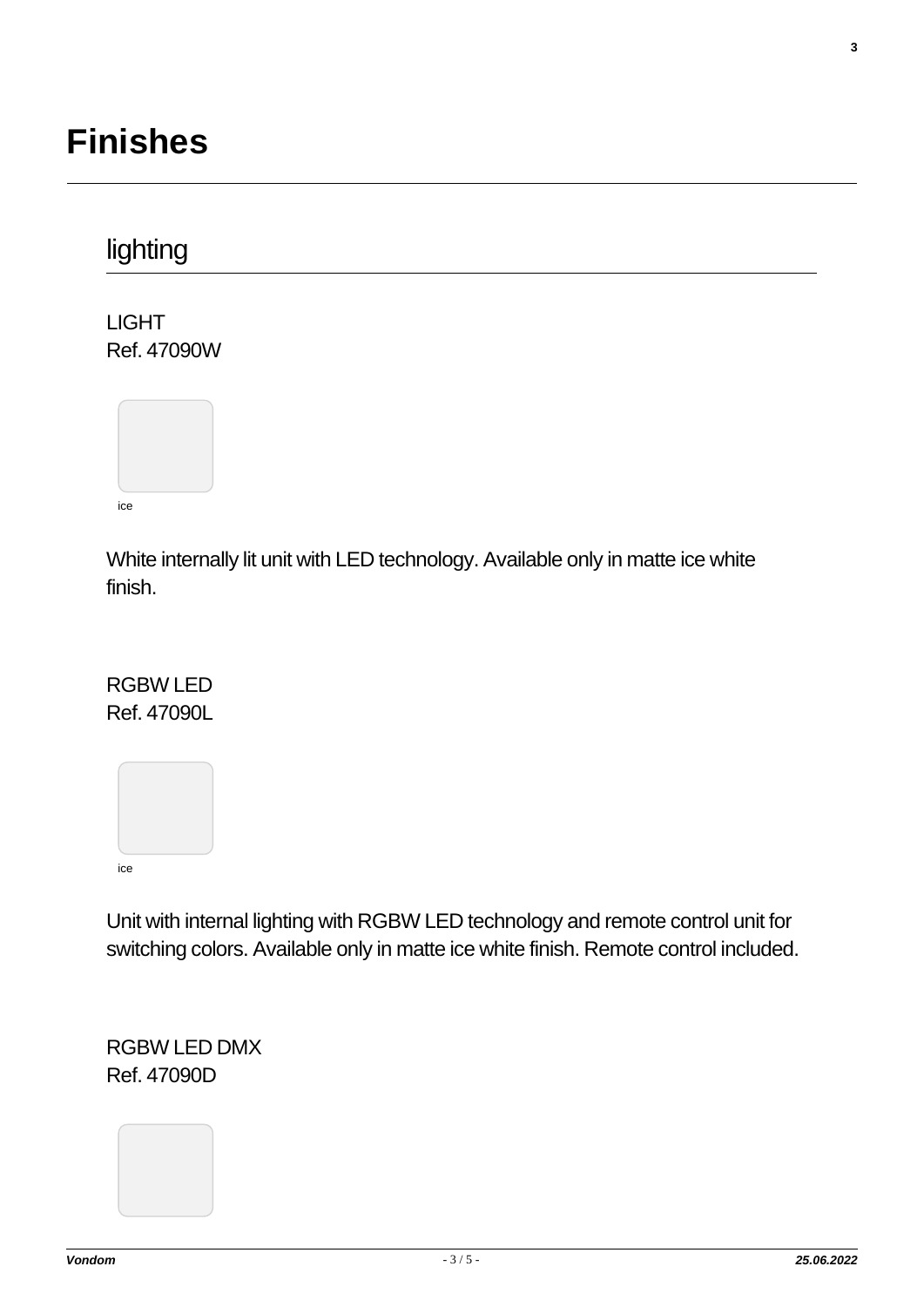## **Finishes**

## lighting

LIGHT Ref. 47090W



White internally lit unit with LED technology. Available only in matte ice white finish.

#### RGBW LED Ref. 47090L



Unit with internal lighting with RGBW LED technology and remote control unit for switching colors. Available only in matte ice white finish. Remote control included.

RGBW LED DMX Ref. 47090D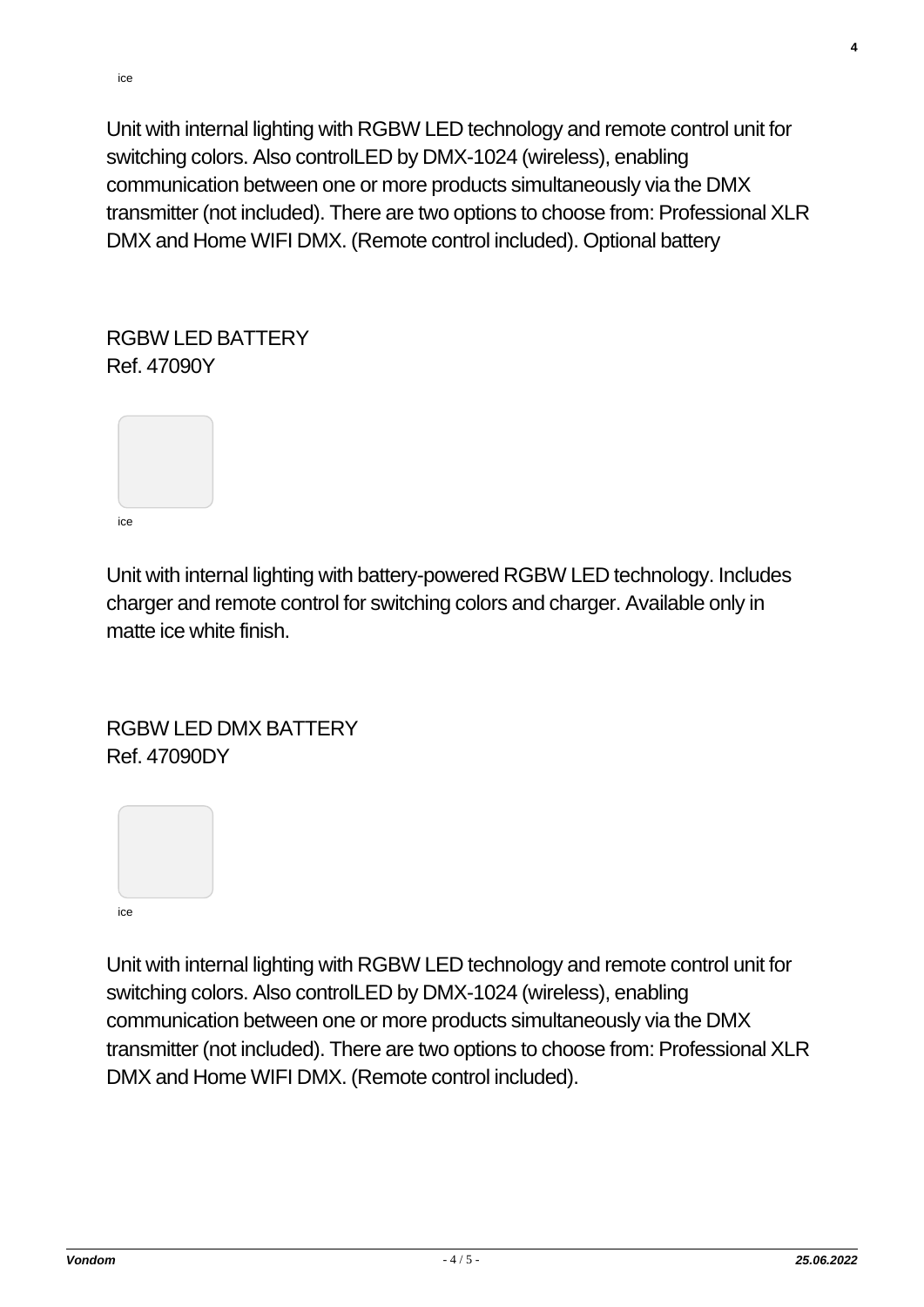ice

Unit with internal lighting with RGBW LED technology and remote control unit for switching colors. Also controlLED by DMX-1024 (wireless), enabling communication between one or more products simultaneously via the DMX transmitter (not included). There are two options to choose from: Professional XLR DMX and Home WIFI DMX. (Remote control included). Optional battery

RGBW LED BATTERY Ref. 47090Y



Unit with internal lighting with battery-powered RGBW LED technology. Includes charger and remote control for switching colors and charger. Available only in matte ice white finish.

#### RGBW LED DMX BATTERY Ref. 47090DY



Unit with internal lighting with RGBW LED technology and remote control unit for switching colors. Also controlLED by DMX-1024 (wireless), enabling communication between one or more products simultaneously via the DMX transmitter (not included). There are two options to choose from: Professional XLR DMX and Home WIFI DMX. (Remote control included).